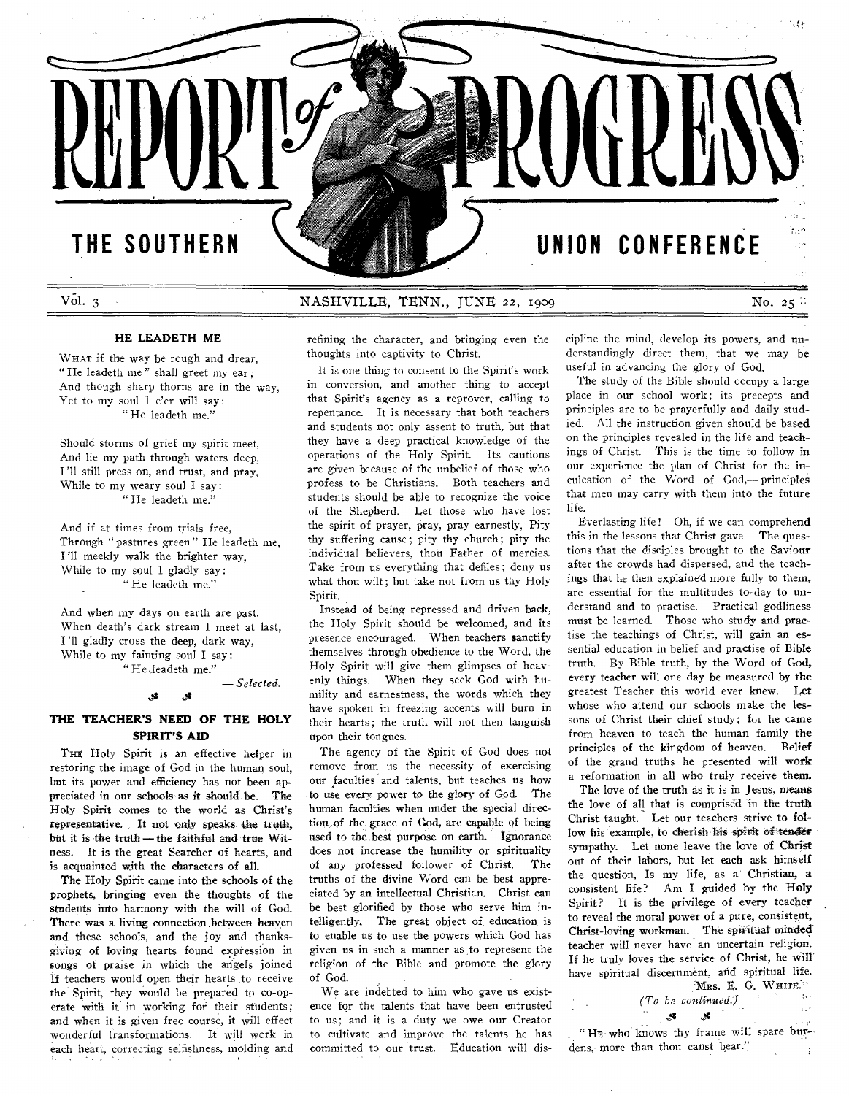# **REPUI THE SOUTHERN UNION CONFERENCE**

# Vol. 3 NASHVILLE, TENN., JUNE 22, 1909 No. 25

### **HE LEADETH ME**

WHAT if the way be rough and drear, " He leadeth me" shall greet my ear ; And though sharp thorns are in the way, Yet to my soul I e'er will say: "He leadeth me."

Should storms of grief my spirit meet, And lie my path through waters deep, I'll still press on, and trust, and pray, While to my weary soul I say : "He leadeth me."

And if at times from trials free, Through " pastures green" He leadeth me, I'll meekly walk the brighter way, While to my soul I gladly say: "He leadeth me."

And when my days on earth are past, When death's dark stream I meet at last, I'll gladly cross the deep, dark way, While to my fainting soul I say: " He leadeth me."

*— Selected.* 

# **THE TEACHER'S NEED OF THE HOLY SPIRIT'S AID**

- 2

THE Holy Spirit is an effective helper in restoring the image of God in the human soul, but its power and efficiency has not been appreciated in our schools as it should be. The Holy Spirit comes to the world as Christ's representative. It not only speaks the truth, but it is the truth—the faithful and true Witness. It is the great Searcher of hearts, and is acquainted with the characters of all.

The Holy Spirit came into the schools of the prophets, bringing even the thoughts of the students into harmony with the will of God. There was a living connection between heayen and these schools, and the joy and thanksgiving of loving hearts found expression in songs of praise in which the angels joined If teachers would open their hearts to receive the Spirit, they would be prepared to co-operate with it in working for their students; and when it is given free course, it will effect wonderful transformations. It will work in each heart, correcting selfishness, molding and

refining the character, and bringing even the thoughts into captivity to Christ.

It is one thing to consent to the Spirit's work in conversion, and another thing to accept that Spirit's agency as a reprover, calling to repentance. It is necessary that both teachers and students not only assent to truth, but that they have a deep practical knowledge of the operations of the Holy Spirit. Its cautions are given because of the unbelief of those who profess to be Christians. Both teachers and students should be able to recognize the voice of the Shepherd. Let those who have lost the spirit of prayer, pray, pray earnestly, Pity thy suffering cause; pity thy church; pity the individual believers, thou Father of mercies. Take from us everything that defiles; deny us what thou wilt; but take not from us thy Holy Spirit.

Instead of being repressed and driven back, the Holy Spirit should be welcomed, and its presence encouraged. When teachers sanctify themselves through obedience to the Word, the Holy Spirit will give them glimpses of heavenly things. When they seek God with humility and earnestness, the words which they have spoken in freezing accents will burn in their hearts; the truth will not then languish upon their tongues.

The agency of the Spirit of God does not remove from us the necessity of exercising our faculties and talents, but teaches us how to use every power to the glory of God. The human faculties when under the special direction, of the grace of God, are capable of being used to the best purpose on earth. Ignorance does not increase the humility or spirituality of any professed follower of Christ. The truths of the divine Word can be best appreciated by an intellectual Christian. Christ can be best glorified by those who serve him intelligently. The great object of education is -to enable us to use the powers which God has given us in such a manner as to represent the religion of the Bible and promote the glory of God.

We are indebted to him who gave us existence for the talents that have been entrusted to us; and it is a duty we owe our Creator to cultivate and improve the talents he has committed to our trust. Education will discipline the mind, develop its powers, and understandingly direct them, that we may be useful in advancing the glory of God.

The study of the Bible should occupy a large place in our school work; its precepts and principles are to be prayerfully and daily studied. All the instruction given should be based on the principles revealed in the life and teachings of Christ. This is the time to follow in our experience the plan of Christ for the inculcation of the Word of God,—principles that men may carry with them into the future life.

Everlasting life! Oh, if we can comprehend this in the lessons that Christ gave. The questions that the disciples brought to the Saviour after the crowds had dispersed, and the teachings that he then explained more fully to them, are essential for the multitudes to-day to understand and to practise. Practical godliness must be learned. Those who study and practise the teachings of Christ, will gain an essential education in belief and practise of Bible truth. By Bible truth, by the Word of God, every teacher will one day be measured by the greatest Teacher this world ever knew. Let whose who attend our schools make the lessons of Christ their chief study; for he came from heaven to teach the human family the principles of the kingdom of heaven. Belief of the grand truths he presented will work a reformation in all who truly receive them.

The love of the truth as it is in Jesus, means the love of all that is comprised in the truth Christ taught. Let our teachers strive to follow his example, to cherish his spirit of tender sympathy. Let none leave the love of Christ out of their labors, but let each ask himself the question, Is my life, as a Christian, a consistent life? Am I guided by the Holy Spirit? It is the privilege of every teacher to reveal the moral power of a pure, consistent, Christ-loving workman. The spiritual minded' teacher will never have an uncertain religion. If he truly loves the service of Christ, he Will have spiritual discernment, and spiritual life.

MRS. E. G. WHITE. *(To be continued.)*   $\mathcal{S}$  $\mathcal{S}$ 

*"* Hg who knows thy frame will spare bur- dens, more than thou canst bear."  $\cdot$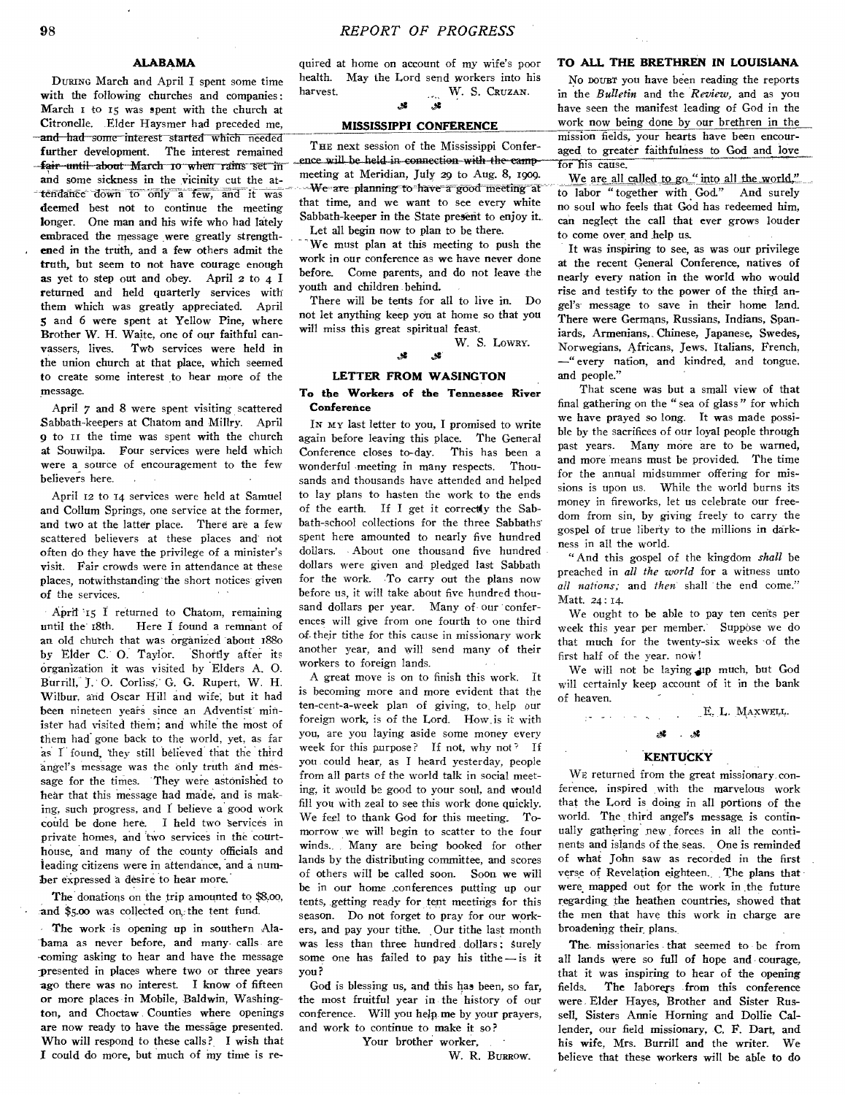# **ALABAMA**

DURING March and April I spent some time with the following churches and companies: March i to 15 was spent with the church at Citronelle. Elder Haysmer had preceded me, and had some interest started which needed further development. The interest remained -fair until about March 10 when rains set in and some sickness in the vicinity cut the attendance down to only a few, and it was deemed best not to continue the meeting longer. One man and his wife who had lately embraced the message were greatly strengthened in the truth, and a few others admit the truth, but seem to not have courage enough as yet to step out and obey. April  $2$  to  $4$  I returned and held quarterly services with them which was greatly appreciated. April 5 and 6 were spent at Yellow Pine, where Brother W. H. Waite, one of our faithful canvassers, lives. Twb services were held in the union church at that place, which seemed to create some interest to hear more of the message.

April 7 and 8 were spent visiting scattered Sabbath-keepers at Chatom and Millry. April 9 to 11 the time was spent with the church at Souwilpa. Four services were held which were a source of encouragement to the few believers here.

April 12 to 14 services were held at Samuel and Collura Springs, one service at the former, and two at the latter place. There are a few scattered believers at these places and not often do they have the privilege of a minister's visit. Fair crowds were in attendance at these places, notwithstanding the short notices given of the services.

APrit 'is I returned to Chatom, remaining until the 18th. Here I found a remnant of an old church that was organized about 1880 by Elder C. O. Taylor. Shortly after its Organization it was visited by Elders A. 0. Burrill, j.' 0. Corliss, G. G. Rupert, W. H. Wilbur, and Oscar Hill and wife; but it had been nineteen years since an Adventist minister had visited them; and while the most of them had gone back to the world, yet, as far as I found, they still believed that the third angel's message was the only truth and message for the times. They were astonished to hear that this message had made, and is making, such progress, and I believe a' good work could be done here. I held two Services in private homes, and two services in the courthouse, and many of the county officials and leading citizens were in attendance, and a number expressed a desire to hear more.

The donations on the trip amounted to \$8.00, and \$5.00 was collected on the tent fund.

The work is opening up in southern Alabama as never before, and many- calls are -coming asking to hear and have the message presented in places where two or three years ago there was no interest. I know of fifteen or more places in Mobile, Baldwin, Washington, and Choctaw Counties where openings are now ready to have the message presented. Who will respond to these calls? I wish that I could do more, but much of my time is required at home on account of my wife's poor health. May the Lord send workers into his harvest. W. S. CRUZAN.

# ЗŻ,

### **MISSISSIPPI CONFERENCE**

THE next session of the Mississippi Conference will be held in connection with the eampmeeting at Meridian, July 29 to Aug. 8, 1909. We are planning to have a good meeting at that time, and we want to see every white Sabbath-keeper in the State present to enjoy it. Let all begin now to plan to be there.

'We must plan at this meeting to push the work in our conference as we have never done before. Come parents, and do not leave the youth and children behind.

There will be tents for all to live in. Do not let anything keep yon at home so that you will miss this great spiritual feast.

W. S. LOWRY.

### **LETTER FROM WASINGTON**

### **To the Workers of the Tennessee River Conference**

IN MY last letter to you, I promised to write again before leaving this place. The General Conference closes to-day. This has been a wonderful meeting in many respects. Thousands and thousands have attended and helped to lay plans to hasten the work to the ends of the earth. If I get it correctly the Sabbath-school collections for the three Sabbaths spent here amounted to nearly five hundred dollars. • About one thousand five hundred dollars were given and pledged last Sabbath for the work. To carry out the plans now before us, it will take about five hundred thousand dollars per year. Many of our conferences will give from one fourth to one third of- their tithe for this cause in missionary work another year, and will send many of their workers to foreign lands.

A great move is on to finish this work. It is becoming more and more evident that the ten-cent-a-week plan of giving, to, help our foreign work, is of the Lord. How\_is it with you, are you laying aside some money every week for this purpose? If not, why not' If you could hear, as I heard yesterday, people from all parts of the world talk in social meeting, it would be good to your soul, and would fill you with zeal to see this work done quickly. We feel to thank God for this meeting, Tomorrow we will begin to scatter to the four winds. Many are being booked for other lands by the distributing committee, and scores of others will be called soon. Soon we will be in our home .conferences putting up our tents, getting ready for tent meetings for this season. Do not forget to pray for our workers, and pay your tithe. Our tithe last month was less than three hundred dollars; surely some one has failed to pay his tithe — is it you?

God is blessing us, and this has been, so far, the most fruitful year in the history of our conference. Will you help me by your prayers, and work to continue to make it so?

Your brother worker,<br>W. R. Burrow.

### **TO ALL THE BRETHREN IN LOUISIANA**

No noun'r you have been reading the reports in the *Bulletin* and the *Review,* and as you have seen the manifest leading of God in the work now being done by our brethren in the mission fields, your hearts have been encouraged to greater faithfulness to God and love<br>for his cause.

We are all called to go "into all the world," to labor " together with God." And surely no soul who feels that God has redeemed him, can neglect the call that ever grows louder to come over and help us.

It was inspiring to see, as was our privilege at the recent General Conference, natives of nearly every nation in the world who would rise and testify to the power of the third angel's-message to save in their home land. There were Germans, Russians, Indians, Spaniards, Armenians, Chinese, Japanese, Swedes, Norwegians, Africans, Jews. Italians, French, —" every nation, and kindred, and tongue, and people."

That scene was but a small view of that final gathering on the " sea of glass " for which we have prayed so long. It was made possible by the sacrifices of our loyal people through past years. Many more are to be warned, and more means must be provided. The time for the annual midsummer offering for missions is upon us. While the world burns its money in fireworks, let us celebrate our freedom from sin, by giving freely to carry the gospel of true libefty to the millions in darkness in all the world.

" And this gospel of the kingdom *shall* be preached in *all the world* for a witness unto *all nations;* and *then* shall the end come." Matt. 24: 14.

We ought to be able to pay ten cents per week this year per member. Suppose we do that much for the twenty-six weeks -of the first half of the year. now!

We will not be laying 41p much, but God will certainly keep account of it in the bank of heaven.

> E. L. MAXWELL.  $\overline{a}$

# 4 - A

### **KENTUCKY**

WE returned from the great missionary conference, inspired with the marvelous work that the Lord is doing in all portions of the world. The third angel's message is continually gathering new forces in all the continents and islands of the seas. One is reminded of what John saw as recorded in the first verse of Revelation eighteen.. The plans that were mapped out for the work in the future regarding the heathen countries, showed that the men that have this work in charge are broadening their plans.

The missionaries that seemed to be from all lands were so full of hope and courage, that it was inspiring to hear of the opening fields. The laborers from this conference were Elder Hayes, Brother and Sister Russell, Sisters Annie Horning and Dollie Callender, our field missionary. C. E. Dart, and his wife, Mrs. Burrill and the writer. We believe that these workers will be able to do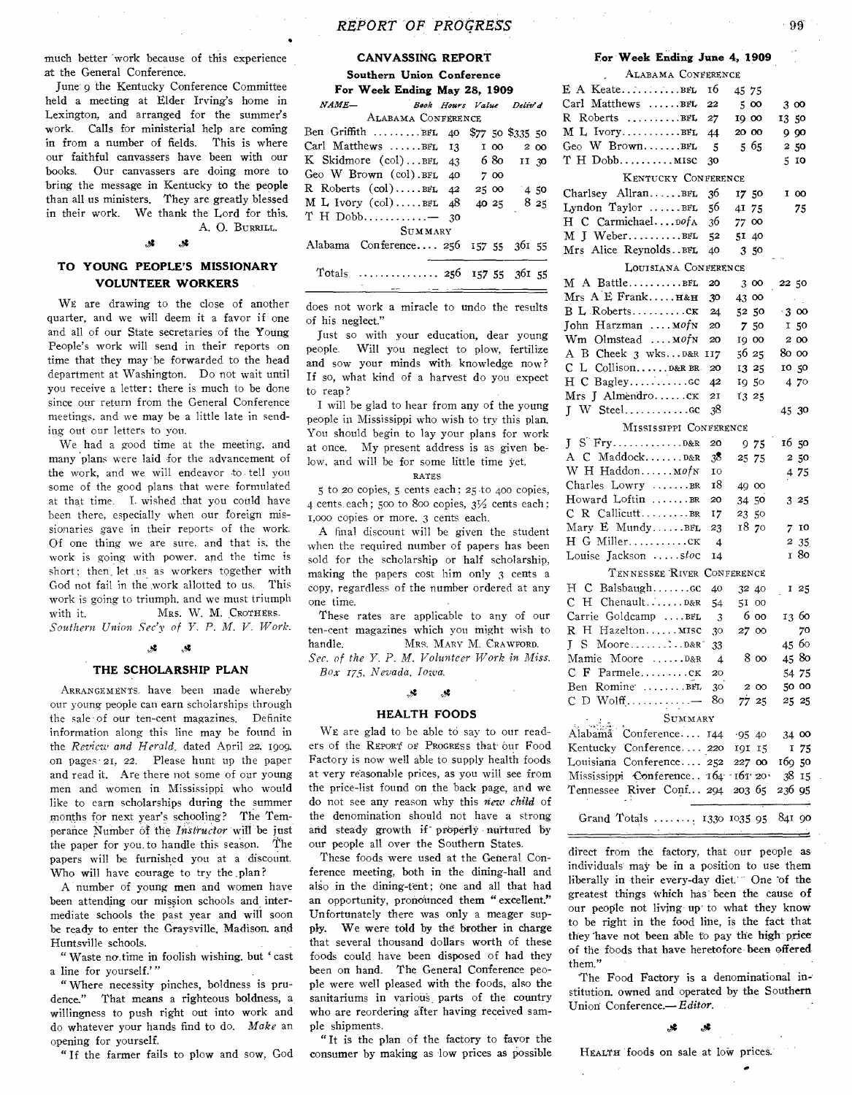much better work because of this experience at the General Conference.

June 9 the Kentucky Conference Committee held a meeting at Elder Irving's home in Lexington, and arranged for the summer's work. Calls for ministerial help are coming in from a number of fields. This is where our faithful canvassers have been with our books. Our canvassers are doing more to bring the message in Kentucky to the people than all us ministers. They are greatly blessed in their work. We thank the Lord for this. A. 0. BURRILL.

### **TO YOUNG PEOPLE'S MISSIONARY VOLUNTEER WORKERS**

WE are drawing to the close of another quarter, and we will deem it a favor if one and all of our State secretaries of the Young People's work will send in their reports on time that they may be forwarded to the head department at Washington. Do not wait until you receive a letter: there is much to be done since our return from the General Conference meetings, and we may be a little late in sending out our letters to you.

We had a good time at the meeting, and many plans were laid for the advancement of the work, and we will endeavor to. tell you some of the good plans that were formulated at that time. I. wished .that you could have been there, especially when our foreign missionaries gave in their reports of the work. Of one thing we are sure, and that is. the work is going with power. and the time is short; then\_ let .us as workers together with God not fail in the work allotted to us. This work is going to triumph. and we must triumph with it. MRS. W. M. CROTHERS. *Southern Union Sec'y of Y. P. M. V. Work.* 

### зź, <u>لو.</u>

### **THE SCHOLARSHIP PLAN**

ARRANGEMENTS. have been made whereby our young people can earn scholarships through the sale-of our ten-cent magazines. Definite information along this line may be found in the *Review and Herald,* dated April 22, 1909, on pages- 21, 22. Please hunt up the paper and read it. Are there not some of our young men and women in Mississippi who would like to earn scholarships during the summer months for next year's schooling? The Temperance Number of the *Instructor* will be just the paper for you. to handle this season. The papers will be furnished you at a discount. Who will have courage to try the .plan?

A number of young men and women have been attending our mission schools and intermediate schools the past year and will soon be ready to enter the Graysville, Madison. and Huntsville schools.

"Waste no.time in foolish wishing, but ' cast a line for yourself.'"

" Where necessity pinches, boldness is prudence." That means a righteous boldness, a willingness to push right out into work and do whatever your hands find to do. *Make* an opening for yourself.

" If the farmer fails to plow and sow, God

### **CANVASSING REPORT**

### **Southern Union Conference For Week Ending May 28, 1909**  *NAME— Book Hours Value Deliv'd*  ALABAMA CONFERENCE

| Ben Griffith BFL 40                          |  |       | $$7750$ \$335 50 |  |
|----------------------------------------------|--|-------|------------------|--|
| Carl Matthews BFL 13                         |  | 1 00  | 2 00             |  |
| K Skidmore $\text{col}) \dots \text{BFL}$ 43 |  |       | 680 II 30        |  |
| Geo W Brown (col). BFL 40                    |  | 7 00  |                  |  |
| R Roberts $(col)$ BFL 42                     |  |       | 25 00 4 50       |  |
| M L Ivory $(col)$ BFL 48                     |  | 40 25 | 825              |  |
| $T H Dobb$ 30                                |  |       |                  |  |
| <b>SUMMARY</b>                               |  |       |                  |  |
| Alabama Conference 256 157 55 361 55         |  |       |                  |  |
| Totals  256 157 55 361 55                    |  |       |                  |  |

does not work a miracle to undo the results of his neglect."

Just so with your education, dear young people. Will you neglect to plow, fertilize and sow your minds with, knowledge now? If so, what kind of a harvest do you expect to reap?

I will be glad to hear from any of the young people in Mississippi who wish to try this plan. You should begin to lay your plans for work at once. My present address is as given below, and will be for some little time yet.

 $RATES$ <br>5 to 20 copies, 5 cents each; 25 to 400 copies, 4 cents each; 500 to 800 copies,  $3\frac{1}{2}$  cents each; 1,000 copies or more. 3 cents each.

making the papers cost him only *3* cents a copy, regardless of the number ordered at any one time. A final discount will he given the student when the required number of papers has been sold for the scholarship or half scholarship,

These rates are applicable to any of our ten-cent magazines which you might wish to handle. MRS. MARY M. CRAWFORD. *Sec. of the Y. P. M. Volunteer Work in Miss.*  Box 175, Nevada, Iowa.

### پي ه.

### **HEALTH FOODS**

WE are glad to be able to say to our readers of the REPORT OF PROGRESS that our Food Factory is now well able to supply health foods at very reasonable prices, as you will see from the price-list found on the back page, and we do not see any reason why this new *child* of the denomination should not have a strong and steady growth if properly nurtured by our people all over the Southern States.

These foods were used at the General Conference meeting, both in the dining-hall and also in the dining-tent; one and all that had an opportunity, pronounced them "excellent." Unfortunately there was only a meager supply. We were told by the brother in charge that several thousand dollars worth of these foods could have been disposed of had they been on hand. The General Conference people were well pleased with the foods, also the sanitariums in various, parts of the country who are reordering after having received sample shipments.

"It is the plan of the factory to favor the consumer by making as low prices as possible

### **For Week Ending June 4, 1909**

| aion Conference                                  | ALABAMA CONFERENCE                               |                      |          |               |
|--------------------------------------------------|--------------------------------------------------|----------------------|----------|---------------|
| ling May 28, 1909                                | E A Keate BFL                                    | 16                   | 45 75    |               |
| Book Hours Value<br>Deliv <sup>y</sup> d         | Carl Matthews BFL                                | 22                   | 500      | 3 00          |
| CONFERENCE                                       | R Roberts BFL                                    | 27                   | 19 00    | 13 50         |
| $F_{\rm BEL}$<br>\$77 50 \$335 50<br>40          | $M L$ Ivory $BFL$                                | 44                   | 20 00    | 990           |
| 100<br>$\ldots$ BFL<br>13<br>2 00                | Geo W BrownBFL                                   | 5                    | 5 65     | 250           |
| 6 80<br>11 30<br>. . BFL<br>43                   |                                                  | 30                   |          | 5 10          |
| 700<br>) . BFL<br>40                             | <b>KENTUCKY CONFERENCE</b>                       |                      |          |               |
| 25 00<br>$\cdot$ . BFL<br>42<br>450              | Charlsey AllranBFL                               | 36                   | 1750     | I 00          |
| 8 25<br>48<br>40 25<br>. . BFL                   | Lyndon Taylor $\dots$ $BFL$                      | 56                   | 41 75    | 75            |
| 30<br>$\ldots$ —                                 | H C Carmichael DofA                              | 36                   | 77 00    |               |
| <b>MMARY</b>                                     | M J WeberBFL                                     | 52                   | 5140     |               |
| $\ldots$ 256<br>361 55<br>157 55                 | Mrs Alice ReynoldsBFL                            | 40                   | 350      |               |
| . 256<br>157 55<br>361 55                        | LOUISIANA CONFERENCE                             |                      |          |               |
|                                                  | $M$ A Battle $_{\rm BFL}$                        | 20                   | 3 00     | 22 50         |
|                                                  | Mrs A E Frank H&H                                | 30                   | 43 00    | $\sim$ $\sim$ |
| racle to undo the results                        |                                                  | 24                   | 52 50    | $\cdot$ 300   |
|                                                  | John Harzman  Mof N                              | 20                   | 750      | 150           |
| r education, dear young                          | Wm Olmstead  Mof N                               | 20                   | 19 00    | 2 00          |
| neglect to plow, fertilize                       | A B Cheek 3 wksD&R 117                           |                      | 56 25    | 80 00         |
| ls with knowledge now?                           | $C L$ Collison D&R BR.                           | 20                   | 13 25    | 10 50         |
| a harvest do you expect                          |                                                  | 42                   | IQ 50    | 4 70          |
| ear from any of the young                        | Mrs J Almendrock                                 | 21                   | 13 25    |               |
| who wish to try this plan.                       | J W Steelcc                                      | 38                   |          | 45 30         |
| day your plans for work                          | MISSISSIPPI CONFERENCE                           |                      |          |               |
| nt address is as given be-                       |                                                  | 20                   | 975      | 16 50         |
| some little time yet.                            | A C MaddockD&R                                   | 38                   | 25 75    | 250           |
| RATES                                            | W H Haddon $\mathbf{M}$ of N                     | $_{\rm IO}$          |          | 475           |
| ents each; 25 to 400 copies,                     | Charles Lowry $\dots \dots$ BR                   | 18                   | 49 00    |               |
| 800 copies, 3½ cents each;                       | $\text{Howard}$ Loftin $\ldots \ldots \text{BR}$ | 20                   | 34 50    | 325           |
| : 3 cents each.                                  | C R CallicuttBR                                  | 17                   | 23 50    |               |
| will be given the student                        | Mary $E$ Mundy $BFL$                             | 23                   | 18 70    | 710           |
| umber of papers has been                         | $H$ G Miller $cx$                                | 4                    |          | 235           |
| rship or half scholarship,                       | Louise Jackson stoc                              | 14                   |          | 180           |
| cost him only 3 cents a                          | TENNESSEE RIVER CONFERENCE                       |                      |          |               |
| he number ordered at any                         |                                                  | 40                   | 32 40    | 125           |
|                                                  | $C$ H Chenault $D\&R$                            | 54                   | 51 00    |               |
| applicable to any of our                         | Carrie Goldcamp BFL                              | 3                    | 6 oo     | 13 60         |
| which you might wish to<br>RS. MARY M. CRAWFORD. | R H Hazelton MISC                                | 30                   | 27 00    | 70<br>45 60   |
| Volunteer Work in Miss.                          | J S Moore<br>Mamie Moore D&R                     | 33                   | 8 00     | 45 80         |
| Iowa.                                            | $C$ $F$ Parmele $CK$                             | $\overline{4}$<br>20 |          | 54 75         |
|                                                  | Ben Romine  BFL 30                               |                      | 200      | 50 00         |
| ê<br>گو.                                         |                                                  |                      | 77 25    | 25 25         |
| TH FOODS                                         | SUMMARY                                          |                      |          |               |
| e able tó say to our read-                       | Alabama Conference 144                           |                      | $-95.40$ | 34 00         |
| F PROGRESS that our Food                         | Kentucky Conference 220                          |                      | 191 15   | I 75          |
| able to supply health foods                      | Louisiana Conference 252                         |                      | 227 00   | 169.50        |
| rices, as you will see from                      | Mississippi Conference. 164 161 20               |                      |          | 38 15         |
| on the back page, and we                         | Tennessee River Conf 294                         |                      | 203.65   | 236 95        |
| son why this <i>riew child</i> of                |                                                  |                      |          |               |
| hould not have a strong                          | Grand Totals  1330 1035 95                       |                      |          | 841.90        |

direct from the factory, that our people as individuals may be in a position to use them liberally in their every-day diet. One of the greatest things which has been the cause of our people not living up to what they know to be right in the food line, is the fact that they 'have not been able to pay the high price of the foods that have heretofore been offered them."

The Food Factory is a denominational institution, owned and operated by the Southern Union Conference.—Editor.

HEALTH foods on sale at low prices.

الا.